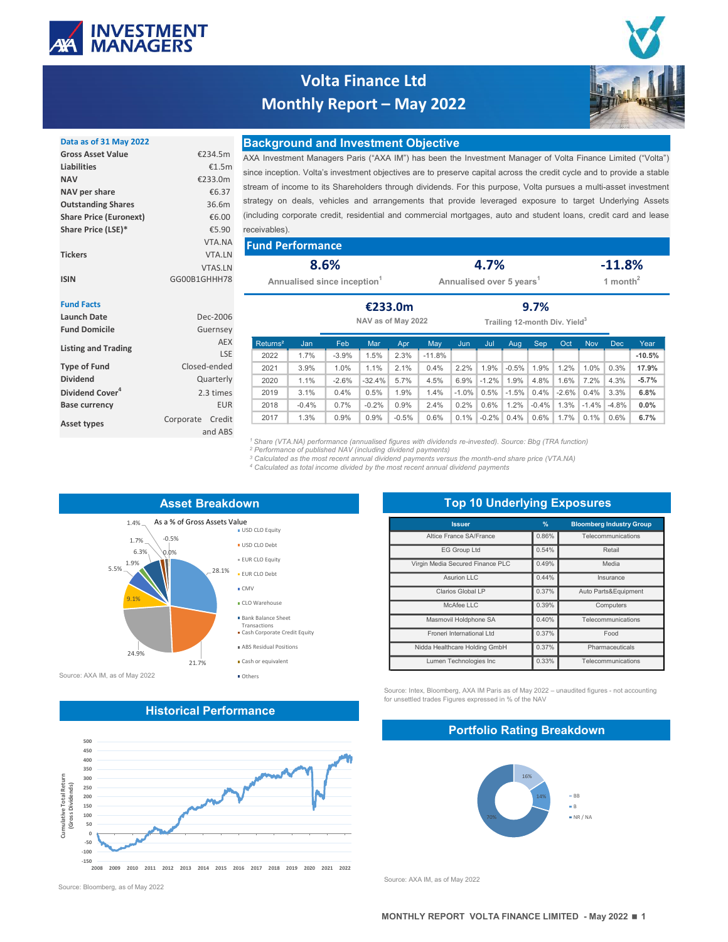

# Volta Finance Ltd Monthly Report – May 2022



| <b>NAV</b>                    | €233.0m        |                        |
|-------------------------------|----------------|------------------------|
| NAV per share                 | €6.37          | stream of income to    |
| <b>Outstanding Shares</b>     | 36.6m          | strategy on deals,     |
| <b>Share Price (Euronext)</b> | €6.00          | (including corporate)  |
| Share Price (LSE)*            | €5.90          | receivables).          |
|                               | VTA.NA         | <b>Fund Perform</b>    |
| <b>Tickers</b>                | <b>VTA.LN</b>  |                        |
|                               | <b>VTAS.LN</b> | 8                      |
| <b>ICIN</b>                   | GGOOR1GHHH78   | Associated the control |

### Data as of 31 May 2022 **Background and Investment Objective**

Volta Finance Ltd<br>
Monthly Report — May 2022<br>
Background and Investment Objective<br>
AXA INVESTIGATE INTERVAL INTERVAL INTERVAL INTERVAL INTERVAL (THE AND A INVESTIGATE OF VIOLES investment Managers Paris ("AXA IM") has been **Example 18 Investment Managers Paris ("AXA IM") has been the Investment Manager of Volta Finance Limited ("Volta") since inception. Volta's investment Objective SAXA IM") has been the Investment Manager of Volta Finance L** Since IV and **Monthly Report – May 2022**<br>
Since inception. Volta's investment Objective<br>
BACkground and Investment Objective<br>
SACk Investment Managers Paris ("AXA M") has been the Investment Manager of Volta Finance Limite Volta Finance Ltd<br>
Monthly Report – May 2022<br>
Background and Investment Objective<br>
AXA Investment Managers Paris ("AXA IM") has been the Investment Manager of Volta Finance Limited ("Volta")<br>
since inception. Volta's inves Strategy on deals, vehicles and arrangements that provide leveraged exposure to target Underlying Assets (ASSET) and arrangements that provide the line westward and arrangements that provide leveraged exposure to target Un Volta Finance Ltd<br>
Monthly Report – May 2022<br>
Background and Investment Objective<br>
XXA Investment Manager of Volta Finance Limited (Volta<sup>12</sup>)<br>
Six Investment Manager of Volta Corporation (Volta<sup>12</sup>)<br>
six Investment Manage receivables). Gross Asset Value **EXALG AXA Investment Managers Paris** ("AXA IM") has been the Investment Manager of Volta Finance Limited ("Volta") Liabilities €1.5m<br>
since inception. Volta's investment objectives are to preserve capital across the credit cycle and to provide a stable m strategy on deals, vehicles and arrangements that provide leveraged exposure to target Underlying Assets  $_{00}$  (including corporate credit, residential and commercial mortgages, auto and student loans, credit card and lease

| receivables). |  |  |
|---------------|--|--|
|---------------|--|--|

| <b>Tickers</b>    | VTA.NA<br>VTA.LN               | <b>Fund Performance</b>            |                                 |                                |
|-------------------|--------------------------------|------------------------------------|---------------------------------|--------------------------------|
| <b>ISIN</b>       | <b>VTAS.LN</b><br>GG00B1GHHH78 | 8.6%<br>Annualised since inception | 4.7%<br>Annualised over 5 years | $-11.8%$<br>month <sup>2</sup> |
| <b>Fund Facts</b> |                                | €233.0m                            | 9.7%                            |                                |

### Fund Facts Launch Date **Dec-2006** Dec-2006 **Dec-2006** MAU as of May 2022 Fund Domicile Guernsey Type of Fund Closed-ended Dividend Quarterly Dividend Cover<sup>4</sup> 2.3 times Base currency **EUR** Corporate Credit Asset types corporate credit the content of the content of the content of the content of the content of the content of the content of the content of the content of the content of the content of the content of the content o Listing and Trading<br>
1951



## Historical Performance



Source: Bloomberg, as of May 2022

| <b>Fund Performance</b>                                                                                                                                                                                                                                                                                                                                                                                                        |         |                    |         |                                  |                                      |          |               |                                           |         |            |                                       |          |
|--------------------------------------------------------------------------------------------------------------------------------------------------------------------------------------------------------------------------------------------------------------------------------------------------------------------------------------------------------------------------------------------------------------------------------|---------|--------------------|---------|----------------------------------|--------------------------------------|----------|---------------|-------------------------------------------|---------|------------|---------------------------------------|----------|
|                                                                                                                                                                                                                                                                                                                                                                                                                                | 8.6%    |                    |         |                                  |                                      | 4.7%     |               |                                           |         |            | $-11.8%$                              |          |
| Annualised since inception <sup>1</sup>                                                                                                                                                                                                                                                                                                                                                                                        |         |                    |         |                                  | Annualised over 5 years <sup>1</sup> |          |               |                                           |         |            | 1 month $^2$                          |          |
|                                                                                                                                                                                                                                                                                                                                                                                                                                |         |                    |         |                                  |                                      |          |               |                                           |         |            |                                       |          |
|                                                                                                                                                                                                                                                                                                                                                                                                                                |         | €233.0m            |         |                                  |                                      |          |               | 9.7%                                      |         |            |                                       |          |
|                                                                                                                                                                                                                                                                                                                                                                                                                                |         | NAV as of May 2022 |         |                                  |                                      |          |               | Trailing 12-month Div. Yield <sup>3</sup> |         |            |                                       |          |
| Returns <sup>2</sup><br>Jan                                                                                                                                                                                                                                                                                                                                                                                                    | Feb     | Mar                | Apr     | May                              | Jun                                  | Jul      | Aug           | Sep                                       | Oct     | <b>Nov</b> | Dec                                   | Year     |
| 1.7%<br>2022                                                                                                                                                                                                                                                                                                                                                                                                                   | $-3.9%$ | 1.5%               | 2.3%    | $-11.8%$                         |                                      |          |               |                                           |         |            |                                       | $-10.5%$ |
| 3.9%<br>2021                                                                                                                                                                                                                                                                                                                                                                                                                   | 1.0%    | 1.1%               | 2.1%    | 0.4%                             | 2.2%                                 | 1.9%     | $-0.5%$       | 1.9%                                      | 1.2%    | 1.0%       | 0.3%                                  | 17.9%    |
| 2020<br>1.1%                                                                                                                                                                                                                                                                                                                                                                                                                   | $-2.6%$ | $-32.4%$           | 5.7%    | 4.5%                             | 6.9%                                 | $-1.2%$  | 1.9%          | 4.8%                                      | 1.6%    | 7.2%       | 4.3%                                  | $-5.7%$  |
| 2019<br>3.1%                                                                                                                                                                                                                                                                                                                                                                                                                   | 0.4%    | 0.5%               | 1.9%    | 1.4%                             | $-1.0%$                              |          | $0.5\%$ -1.5% | $0.4\%$                                   | $-2.6%$ | 0.4%       | 3.3%                                  | 6.8%     |
|                                                                                                                                                                                                                                                                                                                                                                                                                                |         |                    |         |                                  |                                      |          |               |                                           |         |            |                                       |          |
| 2018<br>$-0.4%$                                                                                                                                                                                                                                                                                                                                                                                                                | 0.7%    | $-0.2%$            | 0.9%    | 2.4%                             | 0.2%                                 | 0.6%     | 1.2%          | $-0.4\%$ 1.3%                             |         | $-1.4%$    | $-4.8%$                               | $0.0\%$  |
| 2017<br>1.3%<br><sup>1</sup> Share (VTA.NA) performance (annualised figures with dividends re-invested). Source: Bbg (TRA function)<br><sup>2</sup> Performance of published NAV (including dividend payments)<br><sup>3</sup> Calculated as the most recent annual dividend payments versus the month-end share price (VTA.NA)<br><sup>4</sup> Calculated as total income divided by the most recent annual dividend payments | 0.9%    | 0.9%               | $-0.5%$ | 0.6%                             | 0.1%                                 | $-0.2\%$ | 0.4%          | $0.6\%$                                   | $1.7\%$ | 0.1%       | 0.6%                                  | 6.7%     |
| wn                                                                                                                                                                                                                                                                                                                                                                                                                             |         |                    |         |                                  |                                      |          |               | <b>Top 10 Underlying Exposures</b>        |         |            |                                       |          |
| USD CLO Equity                                                                                                                                                                                                                                                                                                                                                                                                                 |         |                    |         |                                  | <b>Issuer</b>                        |          |               | %                                         |         |            | <b>Bloomberg Industry Group</b>       |          |
|                                                                                                                                                                                                                                                                                                                                                                                                                                |         |                    |         |                                  | Altice France SA/France              |          |               | 0.86%                                     |         |            | Telecommunications                    |          |
| USD CLO Debt<br><b>EUR CLO Equity</b>                                                                                                                                                                                                                                                                                                                                                                                          |         |                    |         |                                  | <b>EG Group Ltd</b>                  |          |               | 0.54%                                     |         |            | Retail                                |          |
| EUR CLO Debt                                                                                                                                                                                                                                                                                                                                                                                                                   |         |                    |         | Virgin Media Secured Finance PLC |                                      |          |               | 0.49%                                     |         |            | Media                                 |          |
|                                                                                                                                                                                                                                                                                                                                                                                                                                |         |                    |         |                                  | <b>Asurion LLC</b>                   |          |               | 0.44%                                     |         |            | Insurance                             |          |
| CLO Warehouse                                                                                                                                                                                                                                                                                                                                                                                                                  |         |                    |         |                                  | Clarios Global LP                    |          |               | 0.37%                                     |         |            | Auto Parts&Equipment                  |          |
| <b>Bank Balance Sheet</b>                                                                                                                                                                                                                                                                                                                                                                                                      |         |                    |         |                                  | McAfee LLC                           |          |               | 0.39%                                     |         |            | Computers                             |          |
| Transactions                                                                                                                                                                                                                                                                                                                                                                                                                   |         |                    |         | Masmovil Holdphone SA            |                                      |          |               | 0.40%                                     |         |            | Telecommunications                    |          |
| Cash Corporate Credit Equity                                                                                                                                                                                                                                                                                                                                                                                                   |         |                    |         |                                  | Froneri International Ltd            |          |               | 0.37%                                     |         |            | Food                                  |          |
| <b>ABS Residual Positions</b><br>Cash or equivalent                                                                                                                                                                                                                                                                                                                                                                            |         |                    |         | Nidda Healthcare Holding GmbH    | Lumen Technologies Inc               |          |               | 0.37%<br>0.33%                            |         |            | Pharmaceuticals<br>Telecommunications |          |



MONTHLY REPORT VOLTA FINANCE LIMITED - May 2022 ■ 1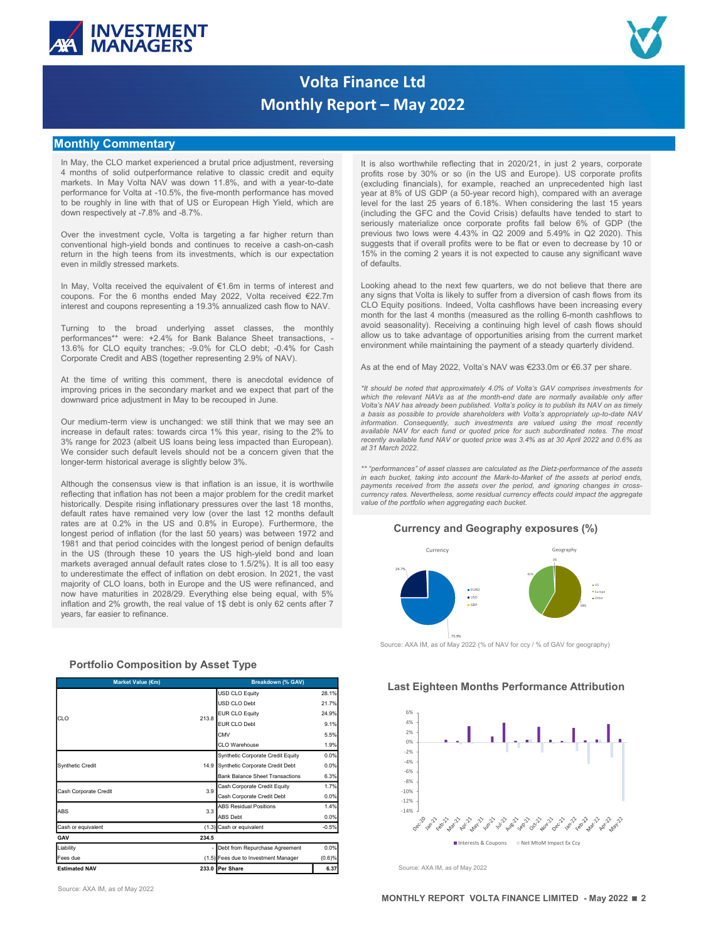



# Volta Finance Ltd Monthly Report – May 2022

## Monthly Commentary

provide Credit and ABS (logether representing 2.9% of NAV). As at the end of May 2022, Volta's NAV was 6233.0m or 66.37 per share more with the end or while composite in the end or which the composite in the second or end protonance to voletal at 10.3%, to be hencefor the protonance are more in the size of 8.0 GDP is done of the down respite rising information and the more in the size of the size of the size of the size of the size of the to see roughly in the official of section and the default of the last 2 years of the last 2 years of the last 12 months default rates have been considered by a strong of the last 12 months default rates have been consider one may be a controlled and a state of the matter in the could be a controlled by the Could China are at the Could China are at the Could China and the Could China and the Could China and the Could China and the Could Chin Over the investment of club is bostomic period of the interest period of inflation and the last 50 years) was between 1972 and the last 50 years in the last 50 years in the last 50 years in the last 50 years) was between Over the investment cyclic, Volta is tangeling in fix higher petun that period coincides the period coincides with the coincides with the coincide of default and the longest period of the land of the land of the land of t convention the physical bonds and continues to receive a cash-on-random in an interaction in the US higher own to be computed bond and interaction of the US higher own to be computed by the Case of the US high-yield bond when in the light decision to material which is our expectation the distinguish it is all to easy of easily a metallity in the coming of the material metallity in the case of the basis and the basis and the material metho even in miliby since of the property in the content of  $\theta$  to the effect of inflation on debta in the vast of inflation on debta in the vast of inflation on debta in 2022, when income is the content of the property of in In May, Volta necessor the counterior of 10 dim is terms of interest and<br>
counterior enterior enterior enterior of CLO loans and the US were refined to CLO graphy positions. Independent in Europe and the US were refined t n May, Volat neeshing the equivariant of 8.6 thin herma of interest and Control and the notice and the control and the control and the control and the control and the control and the control and the control and the contro coupons. For the 6 months ended May 2022, Qualit US basis (excel) and 2022 and a study to the from a diversion of 2% growth of 2% growth and 2% growth of 2% growth of 2% growth and 2% growth of 2% growth and 2% growth of interest and coupons representing a 19.3% annualized cash flow to NAV. CLO Equity positions. Indeed, Volta cashfilm<br>Turming to the broad underlying asset diasses, the monthly in Reserving is contributed to the control of t

 $(1.5)$  Fees due to Investment Manager  $(0.6)\%$ <br>233.0 Per Share 6.37 **er Share Example 19.37 Example 19.37 Example 19.37 Example 20.4 Example 20.4 Example 20.4 Example 20.4 Example 20.4 Example 20.4 Example 20.4 Example 20.4 Example 20.4 Example 20.4 Example 20.** Cash or equivalent at the set of the set of the set of the set of the set of the set of the set of the set of the set of the set of the set of the set of the set of the set of the set of the set of the set of the set of t Some control of the prior control of the prior control of the prior control of the prior control of the prior control of the prior control of the prior control of the CO control of the CO control of the CO control of the Free LUE Correspondent to the Construction of the Correspondent of the Correspondent to Investment Correspondent to Correspondent to Investment Correspondent to Investment Correspondent in the Correspondent Correspondent matrix aworded and definite that contact in the context set of the context set of the context set of the context set of the context set of the context set of the context set of the context set of the context set of the co At the result of which the properties, the method is one in the state of the state of the state of the state of the state of the state of the state of the state of the state of the state of the state of the state of the s

Source: AXA IM, as of May 2022

INVESTMENT<br>
MANAGERS<br>
Monthly Report — May 2022<br>
Ionthly Commentary<br>
In May, the CLO market experienced a brutal price adjustment, reversing<br>
It is also worthwhile reflecting that in 2020/21, in just 2 years, corporate<br>
a INVESTMENT<br>
MONDERS<br>
MONTENT MORE TRIANSICANT CONTROL CONTROL CONTROL CONTROL CONTROL CONTROL CONTROL CONTROL CONTROL CONTROL CONTROL CONTROL CONTROL CONTROL CONTROL CONTROL CONTROL CONTROL CONTROL CONTROL CONTROL CONTROL **MANAGERS**<br> **MANAGERS**<br> **MONDAGERS**<br> **MONDAGERS**<br> **MONDAGERS**<br> **MONDAGERS**<br> **MONDAGERS**<br> **MONDAGERS**<br> **MONDAGERS**<br> **MONDAGERS**<br> **MONDAGERS**<br> **MONDAGERS**<br> **MONDAGERS**<br> **MONDAGERS**<br> **MONDAGERS**<br> **MONDAGERS**<br> **MONDAGERS**<br> **M INVESTMENT**<br> **MONDAGERS**<br> **Volta Finance Ltd**<br> **Monthly Report - May 2022**<br> **It is also worthwhile reflecting that in 2020/21, in just 2 years, corporate**<br> **It is make, the comparison in that price adjustment, reversing<br> INVESTMENT**<br> **MANAGERS**<br> **MONDAGERS**<br> **CONDITY CONTINUATE AND CONTINUATE AREA CONTINUATE AND CONTINUATE AREA CONTINUATE AND CONTINUATE AREA CONTINUATE AND CONTINUATE AREA CONTINUATE AND INTERFERIENCE AND AN UNKNOW AND AR** INVESTMENT<br>
MONDAGERS<br>
Monthly Report — May 2022<br>
Ionthly Commentary<br>
In May, the CLO market experienced a brutal price adjustment, reversing<br>
In May, the CLO market experienced a brutal price adjustment, reversing<br>
In May **INVESTMENT**<br> **Colta Finance Ltd**<br> **Colta is the investigate of the investment cycle is the investment cycle, when**  $\frac{1}{2}$  **was the investment collection of the investment cycle is the investment cycle is the investment COLLET MENT MONIMENT MONIMENT MONIMENT MONIMENT MONIMENT MONIMENT MONIMENT MONIMENT MONIMENT MONIMENT MONIMENT MONIMENT MONIMENT MONIMENT (ISSUE AND A CONTINUES TO THE MANY, the CLO market experienced a brutal price adju INVESTMENT**<br> **MONAGERS**<br>
MONAGERS<br>
MONAGERS<br>
IN the specific control of the second a buttal price adjustment, reversing<br>
It is also worthwhile reflecting the in 2020-21, in just 2 years, corporate<br>
in the Soul couplem fr **EVALUATION STATE SET AND STATE SET AND SET AND SET AND SET AND SET AND SET AND SET AND SET AND SET AND SET AND SET AND SET AND SET AND SET AND SET AND SET AND SET AND SET AND SET AND SET AND SET AND SET AND SET AND SET A** INVESTMENT<br>
MONDAGERS<br>
MONDAGERS<br>
MONDAGERS<br>
MONDAGERS<br>
IN A SURVIVE REPORT OF THE SERVICE OF THE SERVICE OF THE SERVICE OF THE SERVICE OF THE SERVICE OF THE SERVICE OF THE SERVICE OF THE SERVICE OF THE SERVICE OF THE SER Colta Finance Ltd<br>
May start of the boat with the finance Ltd<br>
Monthly Report - May 2022<br>
Nother the commentary<br>
Monthly Report - May 2022<br>
Nother the 6 months ended May in the finance control of the finance control of th **INVESTMENT**<br> **INVERTIMENTEENT CONTROL CONTROL CONTROL CONTROL CONTROL CONTROL CONTROL CONTROL CONTROL CONTROL CONTROL CONTROL CONTROL CONTROL CONTROL CONTROL CONTROL CONTROL CONTROL CONTROL CONTROL CONTROL CONTROL CONTRO INVESTMENT**<br> **MONAGERS**<br>
Monthly Report — May 2022<br>
Interimental in the broad underlying asset consider a particular to the monthly commentary<br>
In the broad underlying asset consider a state of the monthlying asset class **INVESTMENT**<br>
Monthly Report — May 2022<br>
Monthly Report — May 2022<br>
Monthly Report — May 2022<br>
Monthly Report — May 2022<br>
A respectively at the state experiment enters is but price and profession of the state of the state **EXAMPLE STATES FOR THE CONDUCT CONDUCT CONDUCT CONDUCT CONDUCT A THE CONDUCT CONDUCT AND A CONDUCT CONDUCT AND A CONDUCT CONDUCT AND A CONDUCT CONDUCT AND A CONDUCT CONDUCT AND A CONDUCT CONDUCT CONDUCT CONDUCT CONDUCT C VOICE FINANCE IN SECTION CONTRIGRATION CONTRIGRATION CONTRIGRATION CONTRIGRATION CONTRIGRATION CONTRIGRATION (199), the corporation of ABS (together representing 2.9% of NAV). The corporation of ABS (together representin INTERT INTERT CONTINUE ARTISE INTERNATION CONTROL INTERT INTERNATION CONTROL INTERNATION CONTROL INTERNATION CONTROL INTERNATION CONTROL INTERNATION CONTROL INTERNATION CONTROL INTERNATION CONTROL INTERNATION CONTROL INT IOIRA Finance Ltd**<br> **Its also worthwist effecting that in 202021**<br>
Its also worthwist effecting that in 202021, in just 2 years, corporate<br>
in how, the condition of the secondary market and the secondary market and the s **IONITY Commentary Monthly Report – May 2022**<br>
In May, the CLO market dependent adjustment through the subsection of the subsection and model of the subsection and model in May in the Subsection and model in May in the Su **IONITY COMMENTATION CONTROLL THE CONSULTIME INTERFERENCE IN THE SECTION IS UNLESS AN ARCHIVE CONSULTIME INTERFERENCE INTERFERENCE CONSULTIME INTERFERENCE INTERFERENCE CONSULTIME INTERFERENCE INTERFERENCE INTERFERENCE INTE IONITY COMMISTERY**<br>
In May, the CLO market experienced a brutal plote adjustment, reversing iii is also verify the file complete the plus complete the complete the complete the complete the complete the complete the comp **IONINJY COMMERTY**<br> **3.** The May the CO massive specifies that the same interest in the same which in the same than European is the same specifies that the same specifies that the same specifies that the same specifies in **Computer to the main of the such and the such and the such and the such and the such and the such and the such and the such an experimented the main of the such and the such an experiment of the such and the such an expe** in May, the CLO market experienced a butall price adjustment, reversing the is slow overhealter reference in a proposition in the market in the market of the market of the market of the market of the market of the slightl Although the new of working the consensus consensus view in the consensus view of the US and Europey in the consensus view is an inflation inflation inflation in the consensus view is the consensus view is an inflation in reflection has y continued in the same that is a section of the same of the same in the same in the same of the same of the same of the same of the same in the same of the credit market in the same of the credit mate in th **In the Community of the Community of the Community of the Community of the US and Europe)** US corporate profits rose by 30% or so (in the US and Europe). US corporate profits (excluding financials), for example, reached **Profits rose by 30% or so (in the US2022)**<br> **this also worthwhile reflecting that in 2020/21, in just 2 years, corporate**<br>
profits rose by 30% or so (in the US and Europe). US corporate profits<br>
(excluding financials), fo **Commission Commission Commission**<br> **Commission Commission**<br>
this also worthwhile reflecting that in 2020/21, in just 2 years, corporate<br>
profits rose by 30% or so (in the US and Europe). US corporate profits<br>
(excluding f **Nameter Ltd**<br> **Starting Control (and Starting 1980)**<br>
The starting that in 2020/21, in just 2 years, corporate<br>
profits rose by 30% or so (in the US and Europe). US corporate profits<br>
(excluding financials), for example, **lance Ltd**<br> **level for the last 25 years**, corporate<br>
this also worthwhile reflecting that in 2020/21, in just 2 years, corporate<br>
profits rose by 30% or so (in the US and Europe). US corporate profits<br>
(excluding financ **COVIDENT - May 2022**<br>
(it is also worthwhile reflecting that in 2020/21, in just 2 years, corporate<br>
profits rose by 30% or so (in the US and Europe). US corporate profits<br>
(excluding financials), for example, reached an **Namit Accord Corpor Corpor Corporate Corporate Corporate profits** also worthwhile reflecting that in 2020/21, in just 2 years, corporate profits (excluding financials), for example, reached an unprecedented high last **COMBAT COMBATE CONTER CONTER CONTER CONTER CONTERN CONTERN (SECUTE TO MANUST A SURFACT AND SURFACT AND A SURFACT AND A SURFACT AND A SURFACT AND A SURFACT AND A SURFACT AND A SURFACT AND A SURFACT AND A SURFACT AND A SURF Example 18 Constrained Solar Supper State of the Constrainer of the set of the set of the set of profits rese by 30% or so (in the US and Europe). US corporate profits (excluding financials), for example, reached an unpre** 15% in the coming 2 years it is not expected to cause any significant wave **Community:** The **Community of the Community** of the community and a subsequent and the state of the state (excluding financials), for example, reached a numerodented high last (excluding financials), for example, reached **Example 18 Conduct to the next few quarters, we do not believe that the next few form of the next few states for the next few quarters (excluding financials), for example, readed an unprecedented high last (excluding fina annone Ltd**<br> **any signs that is lead to suffer the matrix of the 120021**, in just 2 years, corporate<br>
the slow obthine included financials), for example, reached an unprecedented high last<br>
(exacuting financials), for ex **Clare 11:4**<br> **Clare Scale Scale With the fellowing that in 2020/21, in just 2 years, corporate profits reserve by 30% or so (in the US and Europe). US corporate profits (excluding financials), for example, reached an unp Example 12: Computer Conduct 12:**  $\mathbf{C} = \mathbf{C} \mathbf{A} \mathbf{A}$  more than the relation of the last 4 month (excluding financials), for example, reached an unprecedented high last (excluding financials), for example, re **If**  $\pm$  **May 20022**<br> **It is also worthwhile reflecting that in 2020/21, in just 2 years, corporate**<br>
profits rose by 30% or so (in the US and Europe). US corporate profits<br>
(excluding financials), for example, reached an **is the control of the matter of the matter of the model of the state are composed to the state and the current of the state and the current expectation financials). For example, eached an unprecedented high last expectat Environment while maintaining** that in 2020/21, in just 2 years, corporate profits rose by 30% or so (in the US and Europe) US corporate profits (esculpting financials), for example, reached an unprecedented high last ve **Namce Ltd**<br> **As also worthwhile reflecting that in 2020/21, in just 2 years, corporate**<br>
profits rose by 30% or so (in the US and Europe). US corporate profits<br>
(excluding financials), for example, reached an unprecedent **Example 16.1**<br> **Example 16.1** and the reflecting that in 2020/21, in just 2 years, corporate profits (excluding financials), for example, reaching financial be predicted this have a state of Volta's gave a fit  $8\%$  of U **ITT — May 2022**<br>
It is also worthwhile reflecting that in 2020/21, in Just 2 years, comporate<br>
profits rosse by 30% or so (in the US and Europe) US corporate profits<br>
(excluding financials), for example, reached an unpre **DT1 — May 20022**<br>
It is also worthwhile reflecting that in 2020/21, in just 2 years, corporate<br>
Jeonical Sose by 30% of some the 10 and Europe). US compression in the condensation<br>
(excluding financials) for example, rea **ITC — MAY 20022**<br>
It is also worthwhile reflecting that in 2020/21, in just 2 years, corporate<br>
profits rose by 30% or so (in the US and Europe). US corporate profits<br>
(excluding finachata), for example, reached an unpre **is the consequent of the most relation** of the most represent are valued to the most represent at the most consequent and the example, used to consequently inserest are example, the section of the most consequently insere It is also worthwhile reflecting that in 2020/21, in Just 2 years, corporate profits rose by 30% or so (in the US and Europe). US corporate profits (excluding finactials), for example, receted an unprecedented high last ( It is also worthwhile reflecting that in 2020/21, in just 2 years, corporate profits recently algorithms of the USS and Europe). US corporate profits cleared this section of the US and Europe). US corporate with an averag in each work winner between the reaction in each of the most window of the assets at the stationary francials). If we cannote, reached an unprecedented high last gead of the stationary in the stationary in the most gead o promis roas by 30% of solicity from the US and Europe). Use conjective procedures that an anguage were at 8% of US GDP (a 50-20 p a 50-year energy and the maximum and energy and the period over the best of CDP (the decree (excluding financials), for example, reached an unpercedented high last 12 years of E.18%. When considering the last 12 years of E.18% when considering the last 15 years of E.18%. When considering the last 15 years of E.1 year at 8% of US GDP (a 50-year record high), compared with an awerage with the size of the portfolio when considering the last 15 years<br>seriously materialize conce corporate profits fall below 6% of GDP (the firsture lar

materialize once compresione is profit. Sal below 6% of GDP (the materialize once compress ( $\sim$  GDP) (the metally profits were to be flat or even to decrease by 10 or two distinguished to the next few quarters, we do not



Source: AXA IM, as of May 2022 (% of NAV for ccy / % of GAV for geography)



Source: AXA IM, as of May 2022

MONTHLY REPORT VOLTA FINANCE LIMITED - May 2022 22